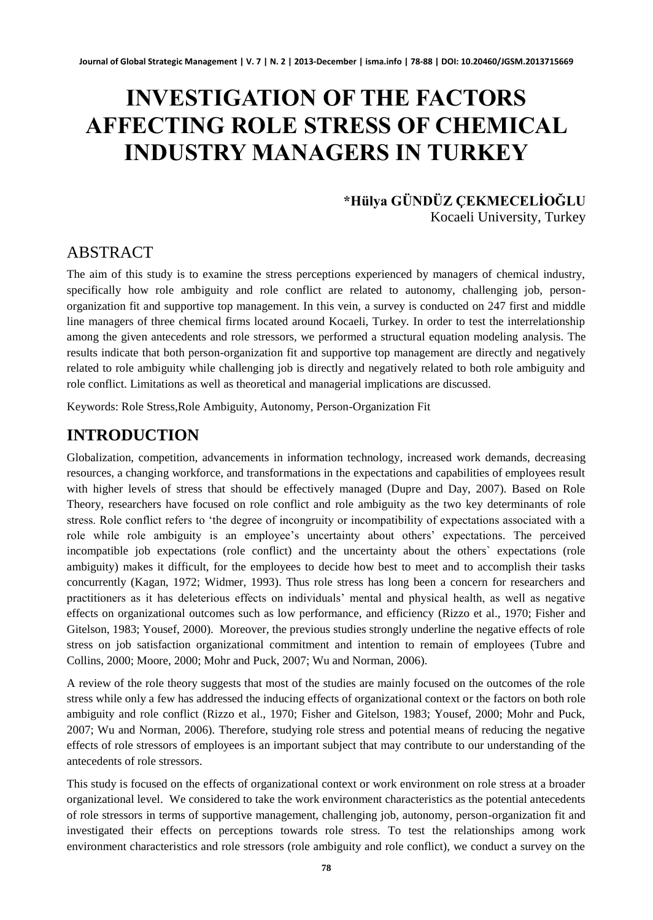# **INVESTIGATION OF THE FACTORS AFFECTING ROLE STRESS OF CHEMICAL INDUSTRY MANAGERS IN TURKEY**

#### **\*Hülya GÜNDÜZ ÇEKMECELİOĞLU** Kocaeli University, Turkey

#### ABSTRACT

The aim of this study is to examine the stress perceptions experienced by managers of chemical industry, specifically how role ambiguity and role conflict are related to autonomy, challenging job, personorganization fit and supportive top management. In this vein, a survey is conducted on 247 first and middle line managers of three chemical firms located around Kocaeli, Turkey. In order to test the interrelationship among the given antecedents and role stressors, we performed a structural equation modeling analysis. The results indicate that both person-organization fit and supportive top management are directly and negatively related to role ambiguity while challenging job is directly and negatively related to both role ambiguity and role conflict. Limitations as well as theoretical and managerial implications are discussed.

Keywords: Role Stress,Role Ambiguity, Autonomy, Person-Organization Fit

### **INTRODUCTION**

Globalization, competition, advancements in information technology, increased work demands, decreasing resources, a changing workforce, and transformations in the expectations and capabilities of employees result with higher levels of stress that should be effectively managed (Dupre and Day, 2007). Based on Role Theory, researchers have focused on role conflict and role ambiguity as the two key determinants of role stress. Role conflict refers to "the degree of incongruity or incompatibility of expectations associated with a role while role ambiguity is an employee's uncertainty about others' expectations. The perceived incompatible job expectations (role conflict) and the uncertainty about the others` expectations (role ambiguity) makes it difficult, for the employees to decide how best to meet and to accomplish their tasks concurrently (Kagan, 1972; Widmer, 1993). Thus role stress has long been a concern for researchers and practitioners as it has deleterious effects on individuals" mental and physical health, as well as negative effects on organizational outcomes such as low performance, and efficiency (Rizzo et al., 1970; Fisher and Gitelson, 1983; Yousef, 2000). Moreover, the previous studies strongly underline the negative effects of role stress on job satisfaction organizational commitment and intention to remain of employees (Tubre and Collins, 2000; Moore, 2000; Mohr and Puck, 2007; Wu and Norman, 2006).

A review of the role theory suggests that most of the studies are mainly focused on the outcomes of the role stress while only a few has addressed the inducing effects of organizational context or the factors on both role ambiguity and role conflict (Rizzo et al., 1970; Fisher and Gitelson, 1983; Yousef, 2000; Mohr and Puck, 2007; Wu and Norman, 2006). Therefore, studying role stress and potential means of reducing the negative effects of role stressors of employees is an important subject that may contribute to our understanding of the antecedents of role stressors.

This study is focused on the effects of organizational context or work environment on role stress at a broader organizational level. We considered to take the work environment characteristics as the potential antecedents of role stressors in terms of supportive management, challenging job, autonomy, person-organization fit and investigated their effects on perceptions towards role stress. To test the relationships among work environment characteristics and role stressors (role ambiguity and role conflict), we conduct a survey on the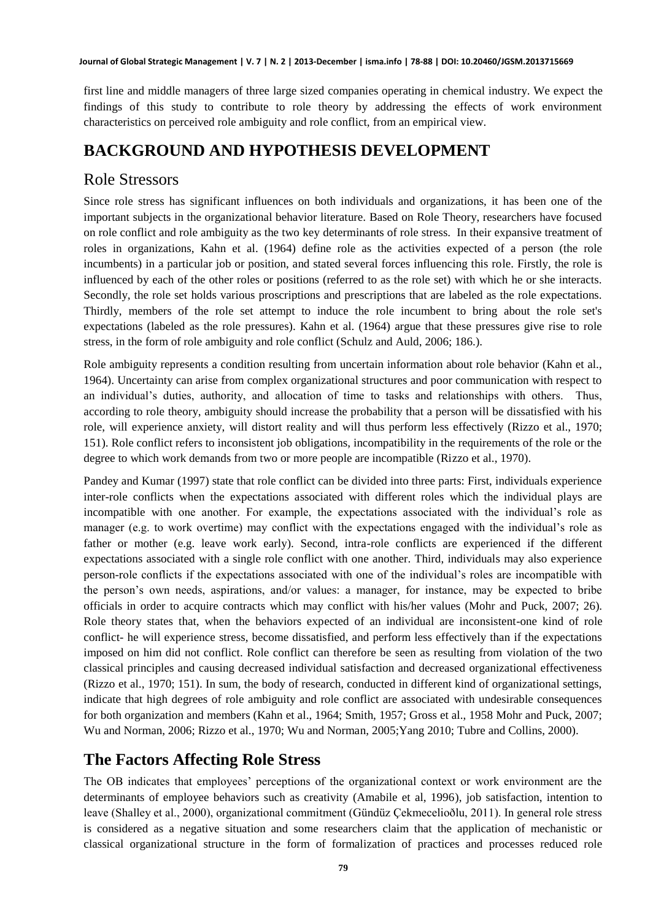**Journal of Global Strategic Management | V. 7 | N. 2 | 2013-December | isma.info | 78-88 | DOI: 10.20460/JGSM.2013715669**

first line and middle managers of three large sized companies operating in chemical industry. We expect the findings of this study to contribute to role theory by addressing the effects of work environment characteristics on perceived role ambiguity and role conflict, from an empirical view.

# **BACKGROUND AND HYPOTHESIS DEVELOPMENT**

#### Role Stressors

Since role stress has significant influences on both individuals and organizations, it has been one of the important subjects in the organizational behavior literature. Based on Role Theory, researchers have focused on role conflict and role ambiguity as the two key determinants of role stress. In their expansive treatment of roles in organizations, Kahn et al. (1964) define role as the activities expected of a person (the role incumbents) in a particular job or position, and stated several forces influencing this role. Firstly, the role is influenced by each of the other roles or positions (referred to as the role set) with which he or she interacts. Secondly, the role set holds various proscriptions and prescriptions that are labeled as the role expectations. Thirdly, members of the role set attempt to induce the role incumbent to bring about the role set's expectations (labeled as the role pressures). Kahn et al. (1964) argue that these pressures give rise to role stress, in the form of role ambiguity and role conflict (Schulz and Auld, 2006; 186.).

Role ambiguity represents a condition resulting from uncertain information about role behavior (Kahn et al., 1964). Uncertainty can arise from complex organizational structures and poor communication with respect to an individual"s duties, authority, and allocation of time to tasks and relationships with others. Thus, according to role theory, ambiguity should increase the probability that a person will be dissatisfied with his role, will experience anxiety, will distort reality and will thus perform less effectively (Rizzo et al., 1970; 151). Role conflict refers to inconsistent job obligations, incompatibility in the requirements of the role or the degree to which work demands from two or more people are incompatible (Rizzo et al., 1970).

Pandey and Kumar (1997) state that role conflict can be divided into three parts: First, individuals experience inter-role conflicts when the expectations associated with different roles which the individual plays are incompatible with one another. For example, the expectations associated with the individual"s role as manager (e.g. to work overtime) may conflict with the expectations engaged with the individual"s role as father or mother (e.g. leave work early). Second, intra-role conflicts are experienced if the different expectations associated with a single role conflict with one another. Third, individuals may also experience person-role conflicts if the expectations associated with one of the individual"s roles are incompatible with the person"s own needs, aspirations, and/or values: a manager, for instance, may be expected to bribe officials in order to acquire contracts which may conflict with his/her values (Mohr and Puck, 2007; 26). Role theory states that, when the behaviors expected of an individual are inconsistent-one kind of role conflict- he will experience stress, become dissatisfied, and perform less effectively than if the expectations imposed on him did not conflict. Role conflict can therefore be seen as resulting from violation of the two classical principles and causing decreased individual satisfaction and decreased organizational effectiveness (Rizzo et al., 1970; 151). In sum, the body of research, conducted in different kind of organizational settings, indicate that high degrees of role ambiguity and role conflict are associated with undesirable consequences for both organization and members (Kahn et al., 1964; Smith, 1957; Gross et al., 1958 Mohr and Puck, 2007; Wu and Norman, 2006; Rizzo et al., 1970; Wu and Norman, 2005;Yang 2010; Tubre and Collins, 2000).

# **The Factors Affecting Role Stress**

The OB indicates that employees" perceptions of the organizational context or work environment are the determinants of employee behaviors such as creativity (Amabile et al, 1996), job satisfaction, intention to leave (Shalley et al., 2000), organizational commitment (Gündüz Çekmecelioðlu, 2011). In general role stress is considered as a negative situation and some researchers claim that the application of mechanistic or classical organizational structure in the form of formalization of practices and processes reduced role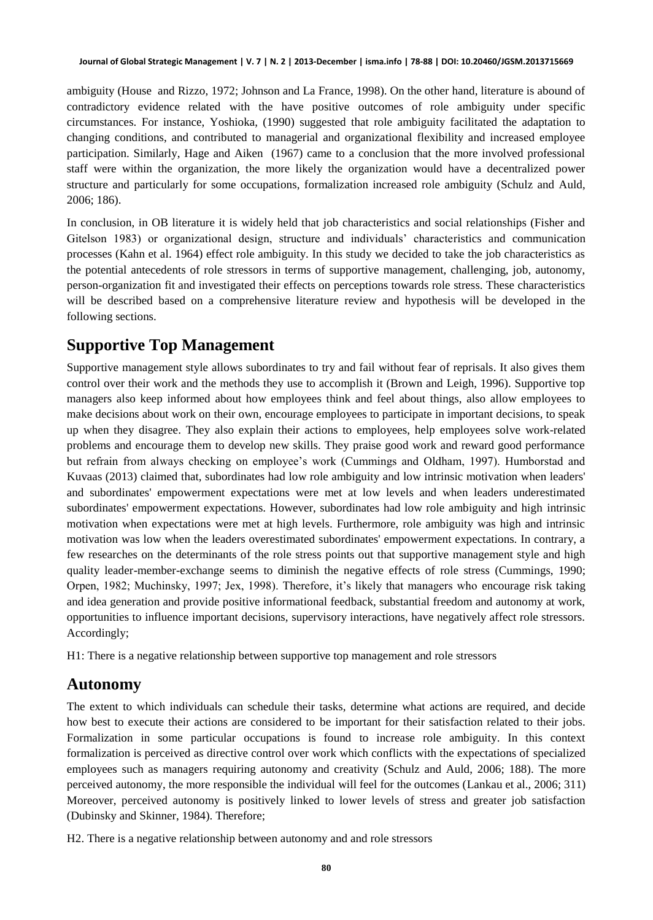ambiguity (House and Rizzo, 1972; Johnson and La France, 1998). On the other hand, literature is abound of contradictory evidence related with the have positive outcomes of role ambiguity under specific circumstances. For instance, Yoshioka, (1990) suggested that role ambiguity facilitated the adaptation to changing conditions, and contributed to managerial and organizational flexibility and increased employee participation. Similarly, Hage and Aiken (1967) came to a conclusion that the more involved professional staff were within the organization, the more likely the organization would have a decentralized power structure and particularly for some occupations, formalization increased role ambiguity (Schulz and Auld, 2006; 186).

In conclusion, in OB literature it is widely held that job characteristics and social relationships (Fisher and Gitelson 1983) or organizational design, structure and individuals" characteristics and communication processes (Kahn et al. 1964) effect role ambiguity. In this study we decided to take the job characteristics as the potential antecedents of role stressors in terms of supportive management, challenging, job, autonomy, person-organization fit and investigated their effects on perceptions towards role stress. These characteristics will be described based on a comprehensive literature review and hypothesis will be developed in the following sections.

### **Supportive Top Management**

Supportive management style allows subordinates to try and fail without fear of reprisals. It also gives them control over their work and the methods they use to accomplish it (Brown and Leigh, 1996). Supportive top managers also keep informed about how employees think and feel about things, also allow employees to make decisions about work on their own, encourage employees to participate in important decisions, to speak up when they disagree. They also explain their actions to employees, help employees solve work-related problems and encourage them to develop new skills. They praise good work and reward good performance but refrain from always checking on employee"s work (Cummings and Oldham, 1997). Humborstad and Kuvaas (2013) claimed that, subordinates had low role ambiguity and low intrinsic motivation when leaders' and subordinates' empowerment expectations were met at low levels and when leaders underestimated subordinates' empowerment expectations. However, subordinates had low role ambiguity and high intrinsic motivation when expectations were met at high levels. Furthermore, role ambiguity was high and intrinsic motivation was low when the leaders overestimated subordinates' empowerment expectations. In contrary, a few researches on the determinants of the role stress points out that supportive management style and high quality leader-member-exchange seems to diminish the negative effects of role stress (Cummings, 1990; Orpen, 1982; Muchinsky, 1997; Jex, 1998). Therefore, it's likely that managers who encourage risk taking and idea generation and provide positive informational feedback, substantial freedom and autonomy at work, opportunities to influence important decisions, supervisory interactions, have negatively affect role stressors. Accordingly;

H1: There is a negative relationship between supportive top management and role stressors

#### **Autonomy**

The extent to which individuals can schedule their tasks, determine what actions are required, and decide how best to execute their actions are considered to be important for their satisfaction related to their jobs. Formalization in some particular occupations is found to increase role ambiguity. In this context formalization is perceived as directive control over work which conflicts with the expectations of specialized employees such as managers requiring autonomy and creativity (Schulz and Auld, 2006; 188). The more perceived autonomy, the more responsible the individual will feel for the outcomes (Lankau et al., 2006; 311) Moreover, perceived autonomy is positively linked to lower levels of stress and greater job satisfaction (Dubinsky and Skinner, 1984). Therefore;

H2. There is a negative relationship between autonomy and and role stressors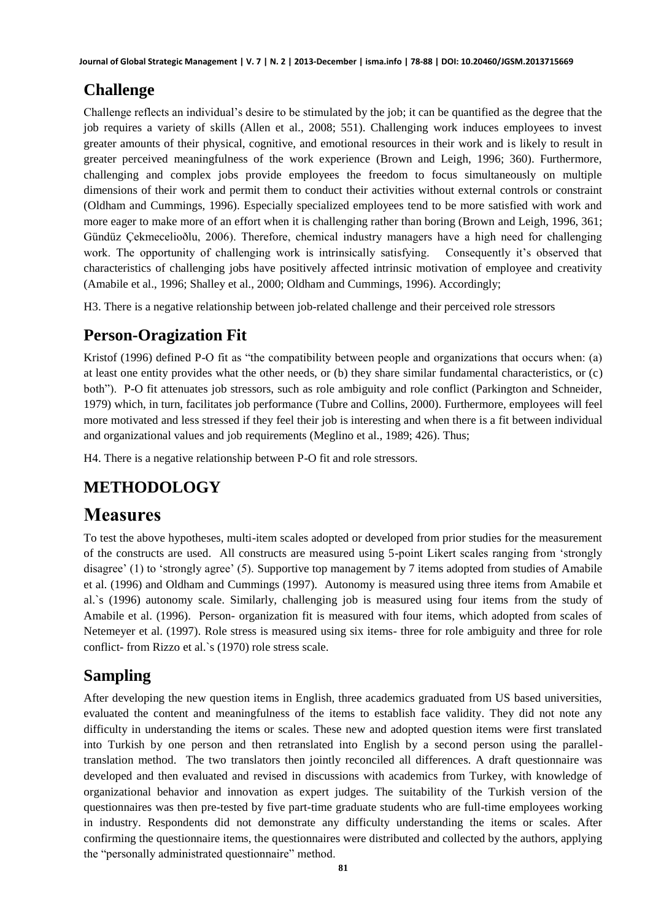# **Challenge**

Challenge reflects an individual"s desire to be stimulated by the job; it can be quantified as the degree that the job requires a variety of skills (Allen et al., 2008; 551). Challenging work induces employees to invest greater amounts of their physical, cognitive, and emotional resources in their work and is likely to result in greater perceived meaningfulness of the work experience (Brown and Leigh, 1996; 360). Furthermore, challenging and complex jobs provide employees the freedom to focus simultaneously on multiple dimensions of their work and permit them to conduct their activities without external controls or constraint (Oldham and Cummings, 1996). Especially specialized employees tend to be more satisfied with work and more eager to make more of an effort when it is challenging rather than boring (Brown and Leigh, 1996, 361; Gündüz Çekmecelioðlu, 2006). Therefore, chemical industry managers have a high need for challenging work. The opportunity of challenging work is intrinsically satisfying. Consequently it's observed that characteristics of challenging jobs have positively affected intrinsic motivation of employee and creativity (Amabile et al., 1996; Shalley et al., 2000; Oldham and Cummings, 1996). Accordingly;

H3. There is a negative relationship between job-related challenge and their perceived role stressors

# **Person-Oragization Fit**

Kristof (1996) defined P-O fit as "the compatibility between people and organizations that occurs when: (a) at least one entity provides what the other needs, or (b) they share similar fundamental characteristics, or (c) both"). P-O fit attenuates job stressors, such as role ambiguity and role conflict (Parkington and Schneider, 1979) which, in turn, facilitates job performance (Tubre and Collins, 2000). Furthermore, employees will feel more motivated and less stressed if they feel their job is interesting and when there is a fit between individual and organizational values and job requirements (Meglino et al., 1989; 426). Thus;

H4. There is a negative relationship between P-O fit and role stressors.

# **METHODOLOGY**

# **Measures**

To test the above hypotheses, multi-item scales adopted or developed from prior studies for the measurement of the constructs are used. All constructs are measured using 5-point Likert scales ranging from "strongly disagree" (1) to "strongly agree" (5). Supportive top management by 7 items adopted from studies of Amabile et al. (1996) and Oldham and Cummings (1997). Autonomy is measured using three items from Amabile et al.`s (1996) autonomy scale. Similarly, challenging job is measured using four items from the study of Amabile et al. (1996). Person- organization fit is measured with four items, which adopted from scales of Netemeyer et al. (1997). Role stress is measured using six items- three for role ambiguity and three for role conflict- from Rizzo et al.`s (1970) role stress scale.

#### **Sampling**

After developing the new question items in English, three academics graduated from US based universities, evaluated the content and meaningfulness of the items to establish face validity. They did not note any difficulty in understanding the items or scales. These new and adopted question items were first translated into Turkish by one person and then retranslated into English by a second person using the paralleltranslation method. The two translators then jointly reconciled all differences. A draft questionnaire was developed and then evaluated and revised in discussions with academics from Turkey, with knowledge of organizational behavior and innovation as expert judges. The suitability of the Turkish version of the questionnaires was then pre-tested by five part-time graduate students who are full-time employees working in industry. Respondents did not demonstrate any difficulty understanding the items or scales. After confirming the questionnaire items, the questionnaires were distributed and collected by the authors, applying the "personally administrated questionnaire" method.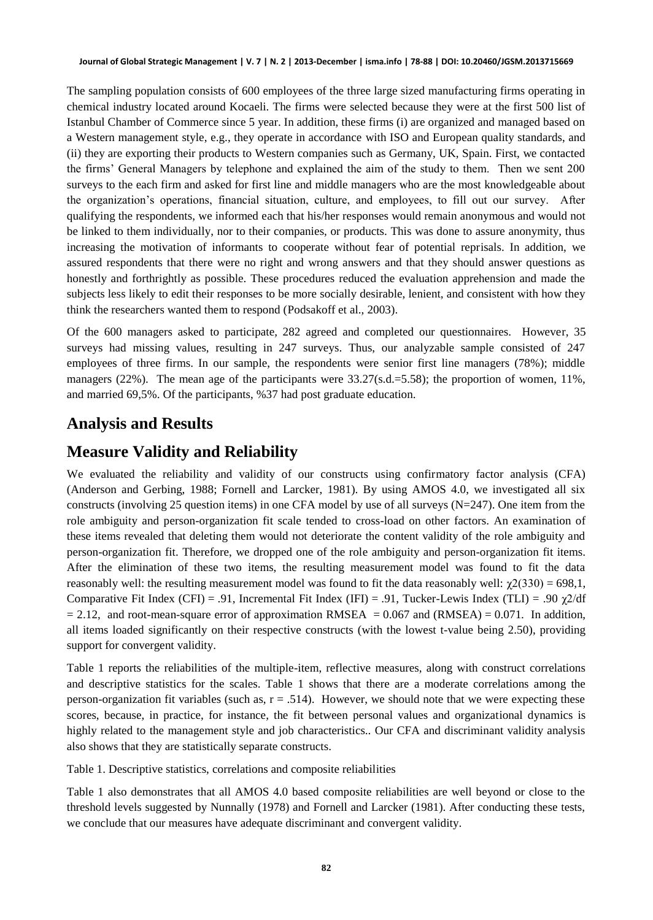#### **Journal of Global Strategic Management | V. 7 | N. 2 | 2013-December | isma.info | 78-88 | DOI: 10.20460/JGSM.2013715669**

The sampling population consists of 600 employees of the three large sized manufacturing firms operating in chemical industry located around Kocaeli. The firms were selected because they were at the first 500 list of Istanbul Chamber of Commerce since 5 year. In addition, these firms (i) are organized and managed based on a Western management style, e.g., they operate in accordance with ISO and European quality standards, and (ii) they are exporting their products to Western companies such as Germany, UK, Spain. First, we contacted the firms" General Managers by telephone and explained the aim of the study to them. Then we sent 200 surveys to the each firm and asked for first line and middle managers who are the most knowledgeable about the organization"s operations, financial situation, culture, and employees, to fill out our survey. After qualifying the respondents, we informed each that his/her responses would remain anonymous and would not be linked to them individually, nor to their companies, or products. This was done to assure anonymity, thus increasing the motivation of informants to cooperate without fear of potential reprisals. In addition, we assured respondents that there were no right and wrong answers and that they should answer questions as honestly and forthrightly as possible. These procedures reduced the evaluation apprehension and made the subjects less likely to edit their responses to be more socially desirable, lenient, and consistent with how they think the researchers wanted them to respond (Podsakoff et al., 2003).

Of the 600 managers asked to participate, 282 agreed and completed our questionnaires. However, 35 surveys had missing values, resulting in 247 surveys. Thus, our analyzable sample consisted of 247 employees of three firms. In our sample, the respondents were senior first line managers (78%); middle managers (22%). The mean age of the participants were  $33.27$ (s.d.=5.58); the proportion of women, 11%, and married 69,5%. Of the participants, %37 had post graduate education.

#### **Analysis and Results**

#### **Measure Validity and Reliability**

We evaluated the reliability and validity of our constructs using confirmatory factor analysis (CFA) (Anderson and Gerbing, 1988; Fornell and Larcker, 1981). By using AMOS 4.0, we investigated all six constructs (involving 25 question items) in one CFA model by use of all surveys (N=247). One item from the role ambiguity and person-organization fit scale tended to cross-load on other factors. An examination of these items revealed that deleting them would not deteriorate the content validity of the role ambiguity and person-organization fit. Therefore, we dropped one of the role ambiguity and person-organization fit items. After the elimination of these two items, the resulting measurement model was found to fit the data reasonably well: the resulting measurement model was found to fit the data reasonably well:  $\chi$ 2(330) = 698,1, Comparative Fit Index (CFI) = .91, Incremental Fit Index (IFI) = .91, Tucker-Lewis Index (TLI) = .90  $\chi$ 2/df  $= 2.12$ , and root-mean-square error of approximation RMSEA  $= 0.067$  and (RMSEA)  $= 0.071$ . In addition, all items loaded significantly on their respective constructs (with the lowest t-value being 2.50), providing support for convergent validity.

Table 1 reports the reliabilities of the multiple-item, reflective measures, along with construct correlations and descriptive statistics for the scales. Table 1 shows that there are a moderate correlations among the person-organization fit variables (such as,  $r = .514$ ). However, we should note that we were expecting these scores, because, in practice, for instance, the fit between personal values and organizational dynamics is highly related to the management style and job characteristics.. Our CFA and discriminant validity analysis also shows that they are statistically separate constructs.

Table 1. Descriptive statistics, correlations and composite reliabilities

Table 1 also demonstrates that all AMOS 4.0 based composite reliabilities are well beyond or close to the threshold levels suggested by Nunnally (1978) and Fornell and Larcker (1981). After conducting these tests, we conclude that our measures have adequate discriminant and convergent validity.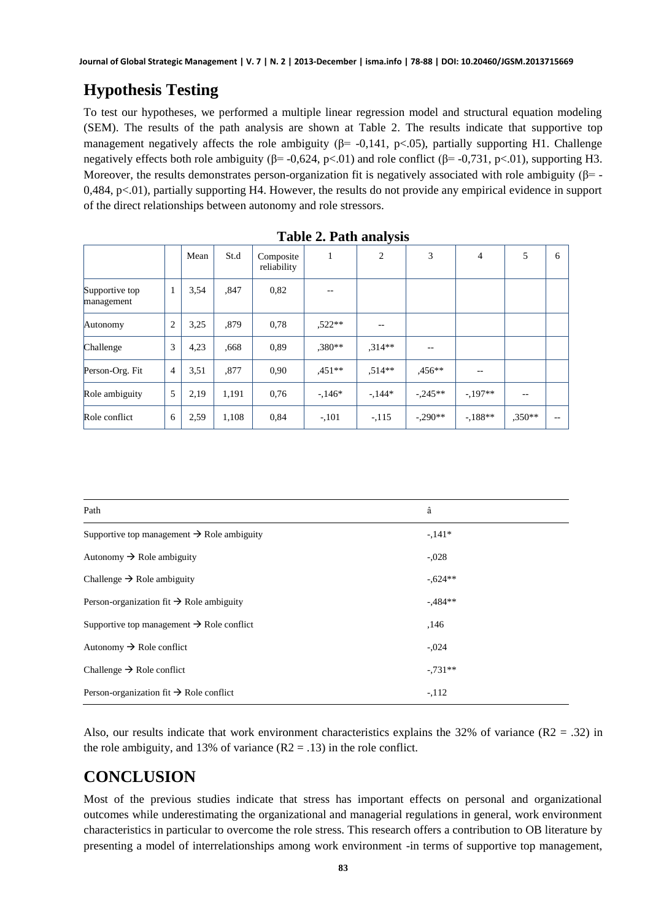# **Hypothesis Testing**

To test our hypotheses, we performed a multiple linear regression model and structural equation modeling (SEM). The results of the path analysis are shown at Table 2. The results indicate that supportive top management negatively affects the role ambiguity ( $\beta$ = -0,141, p<.05), partially supporting H1. Challenge negatively effects both role ambiguity (β= -0,624, p<.01) and role conflict (β= -0,731, p<.01), supporting H3. Moreover, the results demonstrates person-organization fit is negatively associated with role ambiguity ( $\beta$ = 0,484, p<.01), partially supporting H4. However, the results do not provide any empirical evidence in support of the direct relationships between autonomy and role stressors.

|                              |                | Mean | St.d  | Composite<br>reliability | 1        | 2        | 3          | 4        | 5        | 6   |
|------------------------------|----------------|------|-------|--------------------------|----------|----------|------------|----------|----------|-----|
| Supportive top<br>management | 1              | 3,54 | ,847  | 0,82                     |          |          |            |          |          |     |
| Autonomy                     | $\overline{2}$ | 3,25 | ,879  | 0,78                     | $,522**$ |          |            |          |          |     |
| Challenge                    | 3              | 4,23 | .668  | 0,89                     | $,380**$ | $.314**$ | $- -$      |          |          |     |
| Person-Org. Fit              | $\overline{4}$ | 3,51 | ,877  | 0,90                     | $.451**$ | $.514**$ | $.456**$   | $-$      |          |     |
| Role ambiguity               | 5              | 2,19 | 1,191 | 0,76                     | $-146*$  | $-144*$  | $-0.245**$ | $-197**$ | --       |     |
| Role conflict                | 6              | 2,59 | 1.108 | 0,84                     | $-101$   | $-.115$  | $-.290**$  | $-188**$ | $.350**$ | $-$ |

|  |  | Table 2. Path analysis |
|--|--|------------------------|
|--|--|------------------------|

| Path                                                   | â         |
|--------------------------------------------------------|-----------|
| Supportive top management $\rightarrow$ Role ambiguity | $-141*$   |
| Autonomy $\rightarrow$ Role ambiguity                  | $-.028$   |
| Challenge $\rightarrow$ Role ambiguity                 | $-.624**$ |
| Person-organization fit $\rightarrow$ Role ambiguity   | $-484**$  |
| Supportive top management $\rightarrow$ Role conflict  | ,146      |
| Autonomy $\rightarrow$ Role conflict                   | $-.024$   |
| Challenge $\rightarrow$ Role conflict                  | $-731**$  |
| Person-organization fit $\rightarrow$ Role conflict    | $-112$    |

Also, our results indicate that work environment characteristics explains the 32% of variance  $(R2 = .32)$  in the role ambiguity, and 13% of variance  $(R2 = .13)$  in the role conflict.

# **CONCLUSION**

Most of the previous studies indicate that stress has important effects on personal and organizational outcomes while underestimating the organizational and managerial regulations in general, work environment characteristics in particular to overcome the role stress. This research offers a contribution to OB literature by presenting a model of interrelationships among work environment -in terms of supportive top management,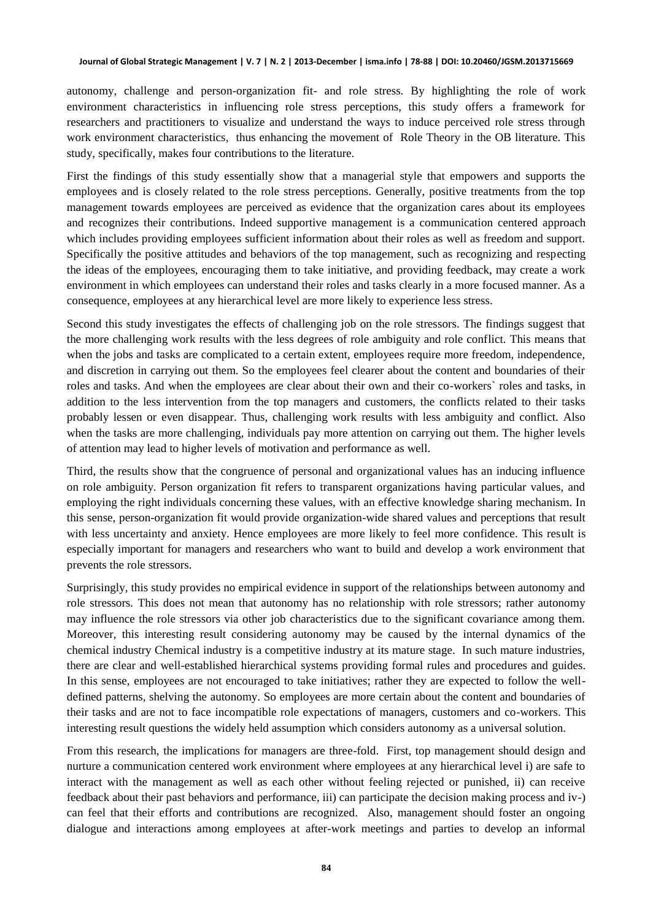autonomy, challenge and person-organization fit- and role stress. By highlighting the role of work environment characteristics in influencing role stress perceptions, this study offers a framework for researchers and practitioners to visualize and understand the ways to induce perceived role stress through work environment characteristics, thus enhancing the movement of Role Theory in the OB literature. This study, specifically, makes four contributions to the literature.

First the findings of this study essentially show that a managerial style that empowers and supports the employees and is closely related to the role stress perceptions. Generally, positive treatments from the top management towards employees are perceived as evidence that the organization cares about its employees and recognizes their contributions. Indeed supportive management is a communication centered approach which includes providing employees sufficient information about their roles as well as freedom and support. Specifically the positive attitudes and behaviors of the top management, such as recognizing and respecting the ideas of the employees, encouraging them to take initiative, and providing feedback, may create a work environment in which employees can understand their roles and tasks clearly in a more focused manner. As a consequence, employees at any hierarchical level are more likely to experience less stress.

Second this study investigates the effects of challenging job on the role stressors. The findings suggest that the more challenging work results with the less degrees of role ambiguity and role conflict. This means that when the jobs and tasks are complicated to a certain extent, employees require more freedom, independence, and discretion in carrying out them. So the employees feel clearer about the content and boundaries of their roles and tasks. And when the employees are clear about their own and their co-workers` roles and tasks, in addition to the less intervention from the top managers and customers, the conflicts related to their tasks probably lessen or even disappear. Thus, challenging work results with less ambiguity and conflict. Also when the tasks are more challenging, individuals pay more attention on carrying out them. The higher levels of attention may lead to higher levels of motivation and performance as well.

Third, the results show that the congruence of personal and organizational values has an inducing influence on role ambiguity. Person organization fit refers to transparent organizations having particular values, and employing the right individuals concerning these values, with an effective knowledge sharing mechanism. In this sense, person-organization fit would provide organization-wide shared values and perceptions that result with less uncertainty and anxiety. Hence employees are more likely to feel more confidence. This result is especially important for managers and researchers who want to build and develop a work environment that prevents the role stressors.

Surprisingly, this study provides no empirical evidence in support of the relationships between autonomy and role stressors. This does not mean that autonomy has no relationship with role stressors; rather autonomy may influence the role stressors via other job characteristics due to the significant covariance among them. Moreover, this interesting result considering autonomy may be caused by the internal dynamics of the chemical industry Chemical industry is a competitive industry at its mature stage. In such mature industries, there are clear and well-established hierarchical systems providing formal rules and procedures and guides. In this sense, employees are not encouraged to take initiatives; rather they are expected to follow the welldefined patterns, shelving the autonomy. So employees are more certain about the content and boundaries of their tasks and are not to face incompatible role expectations of managers, customers and co-workers. This interesting result questions the widely held assumption which considers autonomy as a universal solution.

From this research, the implications for managers are three-fold. First, top management should design and nurture a communication centered work environment where employees at any hierarchical level i) are safe to interact with the management as well as each other without feeling rejected or punished, ii) can receive feedback about their past behaviors and performance, iii) can participate the decision making process and iv-) can feel that their efforts and contributions are recognized. Also, management should foster an ongoing dialogue and interactions among employees at after-work meetings and parties to develop an informal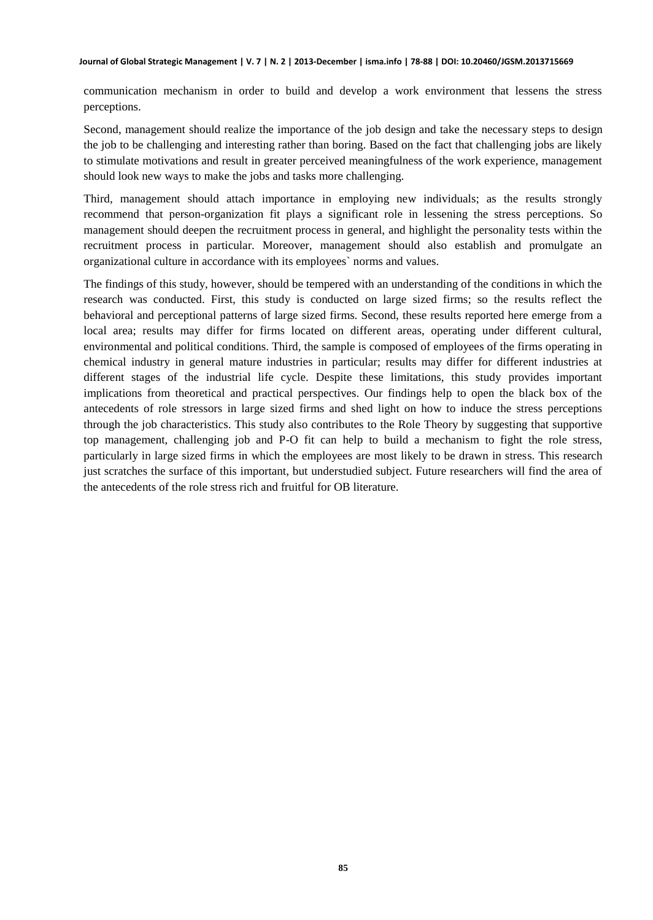#### **Journal of Global Strategic Management | V. 7 | N. 2 | 2013-December | isma.info | 78-88 | DOI: 10.20460/JGSM.2013715669**

communication mechanism in order to build and develop a work environment that lessens the stress perceptions.

Second, management should realize the importance of the job design and take the necessary steps to design the job to be challenging and interesting rather than boring. Based on the fact that challenging jobs are likely to stimulate motivations and result in greater perceived meaningfulness of the work experience, management should look new ways to make the jobs and tasks more challenging.

Third, management should attach importance in employing new individuals; as the results strongly recommend that person-organization fit plays a significant role in lessening the stress perceptions. So management should deepen the recruitment process in general, and highlight the personality tests within the recruitment process in particular. Moreover, management should also establish and promulgate an organizational culture in accordance with its employees` norms and values.

The findings of this study, however, should be tempered with an understanding of the conditions in which the research was conducted. First, this study is conducted on large sized firms; so the results reflect the behavioral and perceptional patterns of large sized firms. Second, these results reported here emerge from a local area; results may differ for firms located on different areas, operating under different cultural, environmental and political conditions. Third, the sample is composed of employees of the firms operating in chemical industry in general mature industries in particular; results may differ for different industries at different stages of the industrial life cycle. Despite these limitations, this study provides important implications from theoretical and practical perspectives. Our findings help to open the black box of the antecedents of role stressors in large sized firms and shed light on how to induce the stress perceptions through the job characteristics. This study also contributes to the Role Theory by suggesting that supportive top management, challenging job and P-O fit can help to build a mechanism to fight the role stress, particularly in large sized firms in which the employees are most likely to be drawn in stress. This research just scratches the surface of this important, but understudied subject. Future researchers will find the area of the antecedents of the role stress rich and fruitful for OB literature.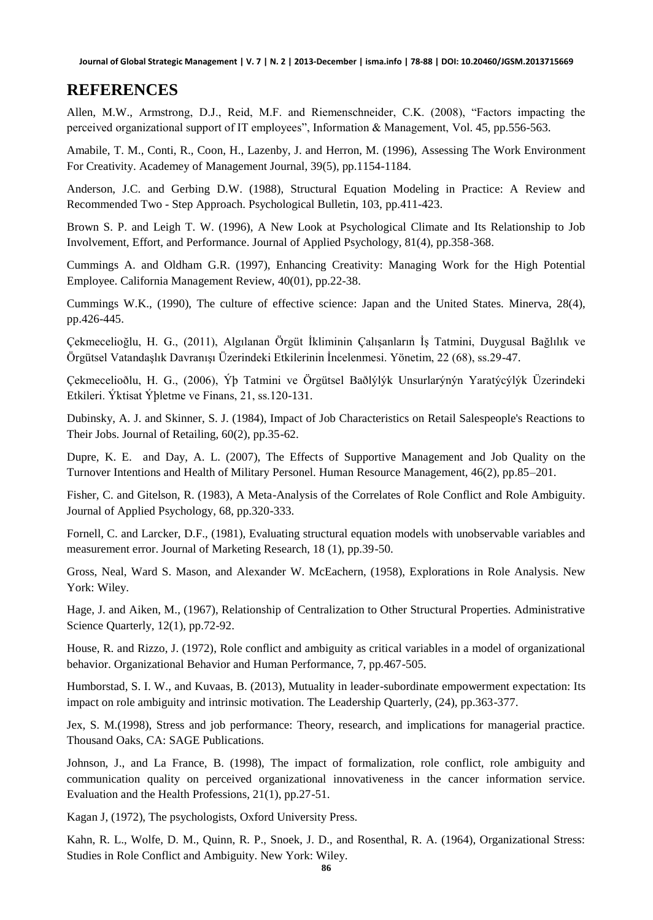#### **REFERENCES**

Allen, M.W., Armstrong, D.J., Reid, M.F. and Riemenschneider, C.K. (2008), "Factors impacting the perceived organizational support of IT employees", Information & Management, Vol. 45, pp.556-563.

Amabile, T. M., Conti, R., Coon, H., Lazenby, J. and Herron, M. (1996), Assessing The Work Environment For Creativity. Academey of Management Journal, 39(5), pp.1154-1184.

Anderson, J.C. and Gerbing D.W. (1988), Structural Equation Modeling in Practice: A Review and Recommended Two - Step Approach. Psychological Bulletin, 103, pp.411-423.

Brown S. P. and Leigh T. W. (1996), A New Look at Psychological Climate and Its Relationship to Job Involvement, Effort, and Performance. Journal of Applied Psychology, 81(4), pp.358-368.

Cummings A. and Oldham G.R. (1997), Enhancing Creativity: Managing Work for the High Potential Employee. California Management Review, 40(01), pp.22-38.

Cummings W.K., (1990), The culture of effective science: Japan and the United States. Minerva, 28(4), pp.426-445.

Çekmecelioğlu, H. G., (2011), Algılanan Örgüt İkliminin Çalışanların İş Tatmini, Duygusal Bağlılık ve Örgütsel Vatandaşlık Davranışı Üzerindeki Etkilerinin İncelenmesi. Yönetim, 22 (68), ss.29-47.

Çekmecelioðlu, H. G., (2006), Ýþ Tatmini ve Örgütsel Baðlýlýk Unsurlarýnýn Yaratýcýlýk Üzerindeki Etkileri. Ýktisat Ýþletme ve Finans, 21, ss.120-131.

Dubinsky, A. J. and Skinner, S. J. (1984), Impact of Job Characteristics on Retail Salespeople's Reactions to Their Jobs. Journal of Retailing, 60(2), pp.35-62.

Dupre, K. E. and Day, A. L. (2007), The Effects of Supportive Management and Job Quality on the Turnover Intentions and Health of Military Personel. Human Resource Management, 46(2), pp.85–201.

Fisher, C. and Gitelson, R. (1983), A Meta-Analysis of the Correlates of Role Conflict and Role Ambiguity. Journal of Applied Psychology, 68, pp.320-333.

Fornell, C. and Larcker, D.F., (1981), Evaluating structural equation models with unobservable variables and measurement error. Journal of Marketing Research, 18 (1), pp.39-50.

Gross, Neal, Ward S. Mason, and Alexander W. McEachern, (1958), Explorations in Role Analysis. New York: Wiley.

Hage, J. and Aiken, M., (1967), Relationship of Centralization to Other Structural Properties. Administrative Science Quarterly, 12(1), pp.72-92.

House, R. and Rizzo, J. (1972), Role conflict and ambiguity as critical variables in a model of organizational behavior. Organizational Behavior and Human Performance, 7, pp.467-505.

Humborstad, S. I. W., and Kuvaas, B. (2013), Mutuality in leader-subordinate empowerment expectation: Its impact on role ambiguity and intrinsic motivation. The Leadership Quarterly, (24), pp.363-377.

Jex, S. M.(1998), Stress and job performance: Theory, research, and implications for managerial practice. Thousand Oaks, CA: SAGE Publications.

Johnson, J., and La France, B. (1998), The impact of formalization, role conflict, role ambiguity and communication quality on perceived organizational innovativeness in the cancer information service. Evaluation and the Health Professions, 21(1), pp.27-51.

Kagan J, (1972), The psychologists, Oxford University Press.

Kahn, R. L., Wolfe, D. M., Quinn, R. P., Snoek, J. D., and Rosenthal, R. A. (1964), Organizational Stress: Studies in Role Conflict and Ambiguity. New York: Wiley.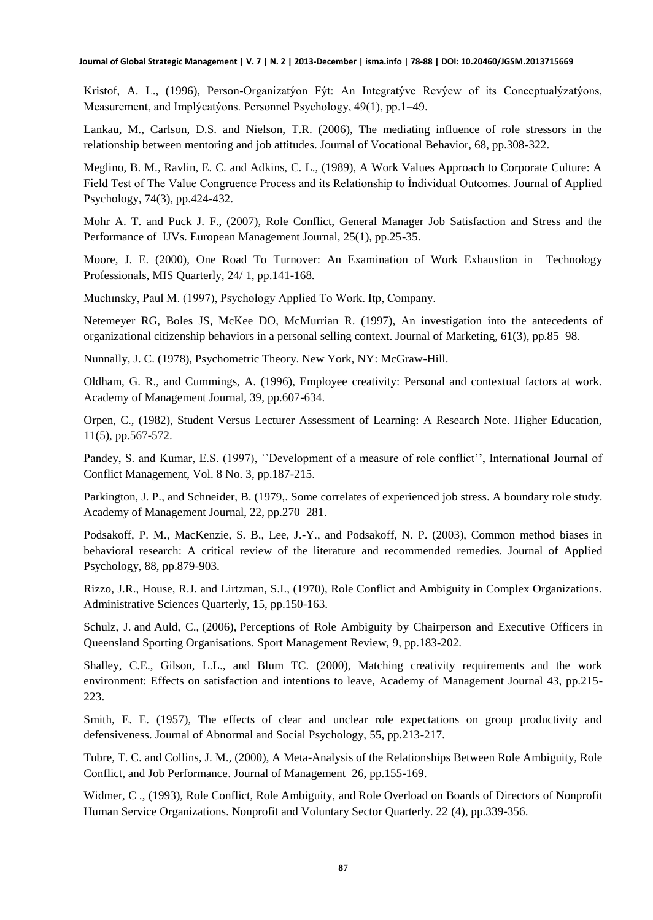Kristof, A. L., (1996), Person-Organizatýon Fýt: An Integratýve Revýew of its Conceptualýzatýons, Measurement, and Implýcatýons. Personnel Psychology, 49(1), pp.1–49.

Lankau, M., Carlson, D.S. and Nielson, T.R. (2006), The mediating influence of role stressors in the relationship between mentoring and job attitudes. Journal of Vocational Behavior, 68, pp.308-322.

Meglino, B. M., Ravlin, E. C. and Adkins, C. L., (1989), A Work Values Approach to Corporate Culture: A Field Test of The Value Congruence Process and its Relationship to İndividual Outcomes. Journal of Applied Psychology, 74(3), pp.424-432.

Mohr A. T. and Puck J. F., (2007), Role Conflict, General Manager Job Satisfaction and Stress and the Performance of IJVs. European Management Journal, 25(1), pp.25-35.

Moore, J. E. (2000), One Road To Turnover: An Examination of Work Exhaustion in Technology Professionals, MIS Quarterly, 24/ 1, pp.141-168.

Muchınsky, Paul M. (1997), Psychology Applied To Work. Itp, Company.

Netemeyer RG, Boles JS, McKee DO, McMurrian R. (1997), An investigation into the antecedents of organizational citizenship behaviors in a personal selling context. Journal of Marketing, 61(3), pp.85–98.

Nunnally, J. C. (1978), Psychometric Theory. New York, NY: McGraw-Hill.

Oldham, G. R., and Cummings, A. (1996), Employee creativity: Personal and contextual factors at work. Academy of Management Journal, 39, pp.607-634.

Orpen, C., (1982), Student Versus Lecturer Assessment of Learning: A Research Note. Higher Education, 11(5), pp.567-572.

Pandey, S. and Kumar, E.S. (1997), ''Development of a measure of role conflict'', International Journal of Conflict Management, Vol. 8 No. 3, pp.187-215.

Parkington, J. P., and Schneider, B. (1979,. Some correlates of experienced job stress. A boundary role study. Academy of Management Journal, 22, pp.270–281.

Podsakoff, P. M., MacKenzie, S. B., Lee, J.-Y., and Podsakoff, N. P. (2003), Common method biases in behavioral research: A critical review of the literature and recommended remedies. Journal of Applied Psychology, 88, pp.879-903.

Rizzo, J.R., House, R.J. and Lirtzman, S.I., (1970), Role Conflict and Ambiguity in Complex Organizations. Administrative Sciences Quarterly, 15, pp.150-163.

Schulz, J. and Auld, C., (2006), Perceptions of Role Ambiguity by Chairperson and Executive Officers in Queensland Sporting Organisations. Sport Management Review, 9, pp.183-202.

Shalley, C.E., Gilson, L.L., and Blum TC. (2000), Matching creativity requirements and the work environment: Effects on satisfaction and intentions to leave, Academy of Management Journal 43, pp.215- 223.

Smith, E. E. (1957), The effects of clear and unclear role expectations on group productivity and defensiveness. Journal of Abnormal and Social Psychology, 55, pp.213-217.

Tubre, T. C. and Collins, J. M., (2000), A Meta-Analysis of the Relationships Between Role Ambiguity, Role Conflict, and Job Performance. Journal of Management 26, pp.155-169.

Widmer, C ., (1993), Role Conflict, Role Ambiguity, and Role Overload on Boards of Directors of Nonprofit Human Service Organizations. Nonprofit and Voluntary Sector Quarterly. 22 (4), pp.339-356.